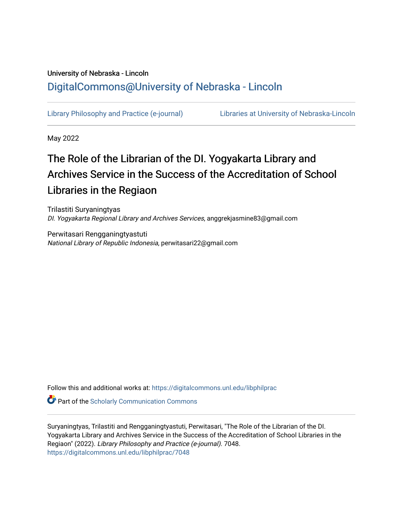# University of Nebraska - Lincoln [DigitalCommons@University of Nebraska - Lincoln](https://digitalcommons.unl.edu/)

[Library Philosophy and Practice \(e-journal\)](https://digitalcommons.unl.edu/libphilprac) [Libraries at University of Nebraska-Lincoln](https://digitalcommons.unl.edu/libraries) 

May 2022

# The Role of the Librarian of the DI. Yogyakarta Library and Archives Service in the Success of the Accreditation of School Libraries in the Regiaon

Trilastiti Suryaningtyas DI. Yogyakarta Regional Library and Archives Services, anggrekjasmine83@gmail.com

Perwitasari Rengganingtyastuti National Library of Republic Indonesia, perwitasari22@gmail.com

Follow this and additional works at: [https://digitalcommons.unl.edu/libphilprac](https://digitalcommons.unl.edu/libphilprac?utm_source=digitalcommons.unl.edu%2Flibphilprac%2F7048&utm_medium=PDF&utm_campaign=PDFCoverPages) 

**Part of the Scholarly Communication Commons** 

Suryaningtyas, Trilastiti and Rengganingtyastuti, Perwitasari, "The Role of the Librarian of the DI. Yogyakarta Library and Archives Service in the Success of the Accreditation of School Libraries in the Regiaon" (2022). Library Philosophy and Practice (e-journal). 7048. [https://digitalcommons.unl.edu/libphilprac/7048](https://digitalcommons.unl.edu/libphilprac/7048?utm_source=digitalcommons.unl.edu%2Flibphilprac%2F7048&utm_medium=PDF&utm_campaign=PDFCoverPages)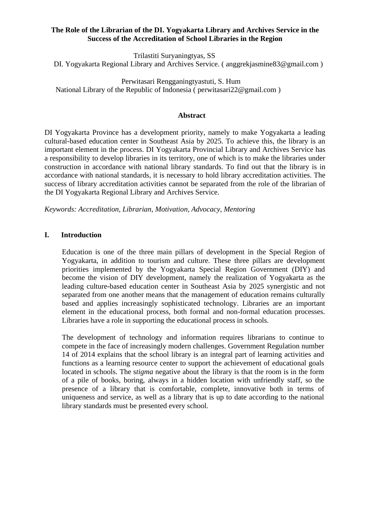# **The Role of the Librarian of the DI. Yogyakarta Library and Archives Service in the Success of the Accreditation of School Libraries in the Region**

Trilastiti Suryaningtyas, SS

DI. Yogyakarta Regional Library and Archives Service. ( [anggrekjasmine83@gmail.com \)](mailto:orchidjasmine83@gmail.com)

Perwitasari Rengganingtyastuti, S. Hum National Library of the Republic of Indonesia ( [perwitasari22@gmail.com \)](mailto:perwitasari22@gmail.com)

#### **Abstract**

DI Yogyakarta Province has a development priority, namely to make Yogyakarta a leading cultural-based education center in Southeast Asia by 2025. To achieve this, the library is an important element in the process. DI Yogyakarta Provincial Library and Archives Service has a responsibility to develop libraries in its territory, one of which is to make the libraries under construction in accordance with national library standards. To find out that the library is in accordance with national standards, it is necessary to hold library accreditation activities. The success of library accreditation activities cannot be separated from the role of the librarian of the DI Yogyakarta Regional Library and Archives Service.

*Keywords: Accreditation, Librarian, Motivation, Advocacy, Mentoring*

#### **I. Introduction**

Education is one of the three main pillars of development in the Special Region of Yogyakarta, in addition to tourism and culture. These three pillars are development priorities implemented by the Yogyakarta Special Region Government (DIY) and become the vision of DIY development, namely the realization of Yogyakarta as the leading culture-based education center in Southeast Asia by 2025 synergistic and not separated from one another means that the management of education remains culturally based and applies increasingly sophisticated technology. Libraries are an important element in the educational process, both formal and non-formal education processes. Libraries have a role in supporting the educational process in schools.

The development of technology and information requires librarians to continue to compete in the face of increasingly modern challenges. Government Regulation number 14 of 2014 explains that the school library is an integral part of learning activities and functions as a learning resource center to support the achievement of educational goals located in schools. The s*tigma* negative about the library is that the room is in the form of a pile of books, boring, always in a hidden location with unfriendly staff, so the presence of a library that is comfortable, complete, innovative both in terms of uniqueness and service, as well as a library that is up to date according to the national library standards must be presented every school.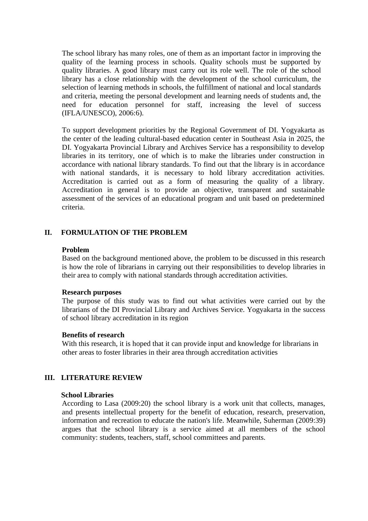The school library has many roles, one of them as an important factor in improving the quality of the learning process in schools. Quality schools must be supported by quality libraries. A good library must carry out its role well. The role of the school library has a close relationship with the development of the school curriculum, the selection of learning methods in schools, the fulfillment of national and local standards and criteria, meeting the personal development and learning needs of students and, the need for education personnel for staff, increasing the level of success (IFLA/UNESCO), 2006:6).

To support development priorities by the Regional Government of DI. Yogyakarta as the center of the leading cultural-based education center in Southeast Asia in 2025, the DI. Yogyakarta Provincial Library and Archives Service has a responsibility to develop libraries in its territory, one of which is to make the libraries under construction in accordance with national library standards. To find out that the library is in accordance with national standards, it is necessary to hold library accreditation activities. Accreditation is carried out as a form of measuring the quality of a library. Accreditation in general is to provide an objective, transparent and sustainable assessment of the services of an educational program and unit based on predetermined criteria.

# **II. FORMULATION OF THE PROBLEM**

#### **Problem**

Based on the background mentioned above, the problem to be discussed in this research is how the role of librarians in carrying out their responsibilities to develop libraries in their area to comply with national standards through accreditation activities.

#### **Research purposes**

The purpose of this study was to find out what activities were carried out by the librarians of the DI Provincial Library and Archives Service. Yogyakarta in the success of school library accreditation in its region

#### **Benefits of research**

With this research, it is hoped that it can provide input and knowledge for librarians in other areas to foster libraries in their area through accreditation activities

#### **III. LITERATURE REVIEW**

#### **School Libraries**

According to Lasa (2009:20) the school library is a work unit that collects, manages, and presents intellectual property for the benefit of education, research, preservation, information and recreation to educate the nation's life. Meanwhile, Suherman (2009:39) argues that the school library is a service aimed at all members of the school community: students, teachers, staff, school committees and parents.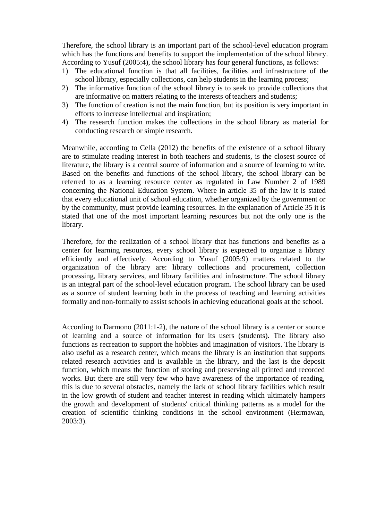Therefore, the school library is an important part of the school-level education program which has the functions and benefits to support the implementation of the school library. According to Yusuf (2005:4), the school library has four general functions, as follows:

- 1) The educational function is that all facilities, facilities and infrastructure of the school library, especially collections, can help students in the learning process;
- 2) The informative function of the school library is to seek to provide collections that are informative on matters relating to the interests of teachers and students;
- 3) The function of creation is not the main function, but its position is very important in efforts to increase intellectual and inspiration;
- 4) The research function makes the collections in the school library as material for conducting research or simple research.

Meanwhile, according to Cella (2012) the benefits of the existence of a school library are to stimulate reading interest in both teachers and students, is the closest source of literature, the library is a central source of information and a source of learning to write. Based on the benefits and functions of the school library, the school library can be referred to as a learning resource center as regulated in Law Number 2 of 1989 concerning the National Education System. Where in article 35 of the law it is stated that every educational unit of school education, whether organized by the government or by the community, must provide learning resources. In the explanation of Article 35 it is stated that one of the most important learning resources but not the only one is the library.

Therefore, for the realization of a school library that has functions and benefits as a center for learning resources, every school library is expected to organize a library efficiently and effectively. According to Yusuf (2005:9) matters related to the organization of the library are: library collections and procurement, collection processing, library services, and library facilities and infrastructure. The school library is an integral part of the school-level education program. The school library can be used as a source of student learning both in the process of teaching and learning activities formally and non-formally to assist schools in achieving educational goals at the school.

According to Darmono (2011:1-2), the nature of the school library is a center or source of learning and a source of information for its users (students). The library also functions as recreation to support the hobbies and imagination of visitors. The library is also useful as a research center, which means the library is an institution that supports related research activities and is available in the library, and the last is the deposit function, which means the function of storing and preserving all printed and recorded works. But there are still very few who have awareness of the importance of reading, this is due to several obstacles, namely the lack of school library facilities which result in the low growth of student and teacher interest in reading which ultimately hampers the growth and development of students' critical thinking patterns as a model for the creation of scientific thinking conditions in the school environment (Hermawan, 2003:3).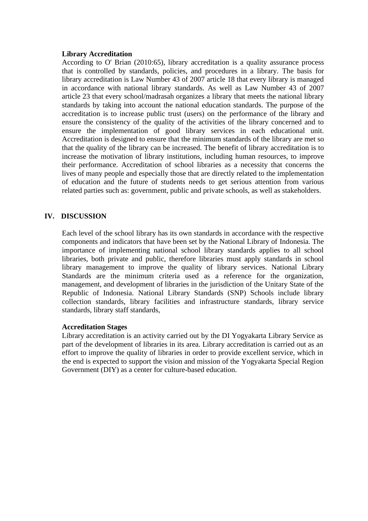#### **Library Accreditation**

According to O' Brian (2010:65), library accreditation is a quality assurance process that is controlled by standards, policies, and procedures in a library. The basis for library accreditation is Law Number 43 of 2007 article 18 that every library is managed in accordance with national library standards. As well as Law Number 43 of 2007 article 23 that every school/madrasah organizes a library that meets the national library standards by taking into account the national education standards. The purpose of the accreditation is to increase public trust (users) on the performance of the library and ensure the consistency of the quality of the activities of the library concerned and to ensure the implementation of good library services in each educational unit. Accreditation is designed to ensure that the minimum standards of the library are met so that the quality of the library can be increased. The benefit of library accreditation is to increase the motivation of library institutions, including human resources, to improve their performance. Accreditation of school libraries as a necessity that concerns the lives of many people and especially those that are directly related to the implementation of education and the future of students needs to get serious attention from various related parties such as: government, public and private schools, as well as stakeholders.

# **IV. DISCUSSION**

Each level of the school library has its own standards in accordance with the respective components and indicators that have been set by the National Library of Indonesia. The importance of implementing national school library standards applies to all school libraries, both private and public, therefore libraries must apply standards in school library management to improve the quality of library services. National Library Standards are the minimum criteria used as a reference for the organization, management, and development of libraries in the jurisdiction of the Unitary State of the Republic of Indonesia. National Library Standards (SNP) Schools include library collection standards, library facilities and infrastructure standards, library service standards, library staff standards,

#### **Accreditation Stages**

Library accreditation is an activity carried out by the DI Yogyakarta Library Service as part of the development of libraries in its area. Library accreditation is carried out as an effort to improve the quality of libraries in order to provide excellent service, which in the end is expected to support the vision and mission of the Yogyakarta Special Region Government (DIY) as a center for culture-based education.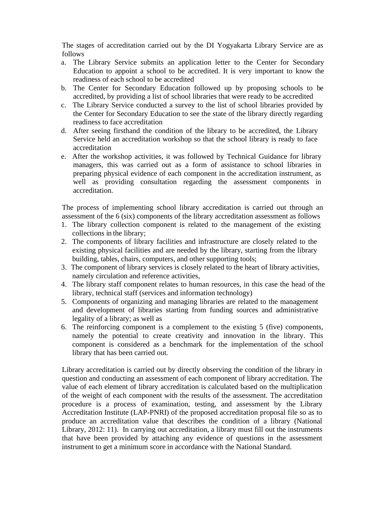The stages of accreditation carried out by the DI Yogyakarta Library Service are as follows

- a. The Library Service submits an application letter to the Center for Secondary Education to appoint a school to be accredited. It is very important to know the readiness of each school to be accredited
- b. The Center for Secondary Education followed up by proposing schools to be accredited, by providing a list of school libraries that were ready to be accredited
- c. The Library Service conducted a survey to the list of school libraries provided by the Center for Secondary Education to see the state of the library directly regarding readiness to face accreditation
- d. After seeing firsthand the condition of the library to be accredited, the Library Service held an accreditation workshop so that the school library is ready to face accreditation
- e. After the workshop activities, it was followed by Technical Guidance for library managers, this was carried out as a form of assistance to school libraries in preparing physical evidence of each component in the accreditation instrument, as well as providing consultation regarding the assessment components in accreditation.

The process of implementing school library accreditation is carried out through an assessment of the 6 (six) components of the library accreditation assessment as follows

- 1. The library collection component is related to the management of the existing collections in the library;
- 2. The components of library facilities and infrastructure are closely related to the existing physical facilities and are needed by the library, starting from the library building, tables, chairs, computers, and other supporting tools;
- 3. The component of library services is closely related to the heart of library activities, namely circulation and reference activities,
- 4. The library staff component relates to human resources, in this case the head of the library, technical staff (services and information technology)
- 5. Components of organizing and managing libraries are related to the management and development of libraries starting from funding sources and administrative legality of a library; as well as
- 6. The reinforcing component is a complement to the existing 5 (five) components, namely the potential to create creativity and innovation in the library. This component is considered as a benchmark for the implementation of the school library that has been carried out.

Library accreditation is carried out by directly observing the condition of the library in question and conducting an assessment of each component of library accreditation. The value of each element of library accreditation is calculated based on the multiplication of the weight of each component with the results of the assessment. The accreditation procedure is a process of examination, testing, and assessment by the Library Accreditation Institute (LAP-PNRI) of the proposed accreditation proposal file so as to produce an accreditation value that describes the condition of a library (National Library, 2012: 11). In carrying out accreditation, a library must fill out the instruments that have been provided by attaching any evidence of questions in the assessment instrument to get a minimum score in accordance with the National Standard.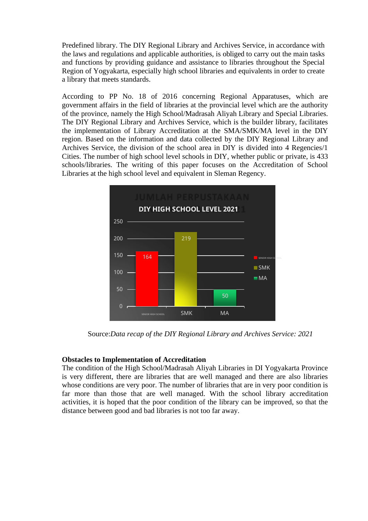Predefined library. The DIY Regional Library and Archives Service, in accordance with the laws and regulations and applicable authorities, is obliged to carry out the main tasks and functions by providing guidance and assistance to libraries throughout the Special Region of Yogyakarta, especially high school libraries and equivalents in order to create a library that meets standards.

According to PP No. 18 of 2016 concerning Regional Apparatuses, which are government affairs in the field of libraries at the provincial level which are the authority of the province, namely the High School/Madrasah Aliyah Library and Special Libraries. The DIY Regional Library and Archives Service, which is the builder library, facilitates the implementation of Library Accreditation at the SMA/SMK/MA level in the DIY region. Based on the information and data collected by the DIY Regional Library and Archives Service, the division of the school area in DIY is divided into 4 Regencies/1 Cities. The number of high school level schools in DIY, whether public or private, is 433 schools/libraries. The writing of this paper focuses on the Accreditation of School Libraries at the high school level and equivalent in Sleman Regency.



Source:*Data recap of the DIY Regional Library and Archives Service: 2021*

#### **Obstacles to Implementation of Accreditation**

The condition of the High School/Madrasah Aliyah Libraries in DI Yogyakarta Province is very different, there are libraries that are well managed and there are also libraries whose conditions are very poor. The number of libraries that are in very poor condition is far more than those that are well managed. With the school library accreditation activities, it is hoped that the poor condition of the library can be improved, so that the distance between good and bad libraries is not too far away.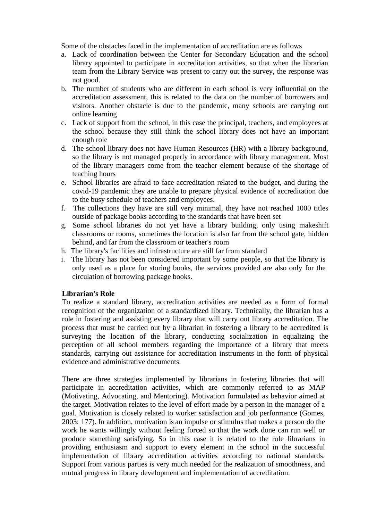Some of the obstacles faced in the implementation of accreditation are as follows

- a. Lack of coordination between the Center for Secondary Education and the school library appointed to participate in accreditation activities, so that when the librarian team from the Library Service was present to carry out the survey, the response was not good.
- b. The number of students who are different in each school is very influential on the accreditation assessment, this is related to the data on the number of borrowers and visitors. Another obstacle is due to the pandemic, many schools are carrying out online learning
- c. Lack of support from the school, in this case the principal, teachers, and employees at the school because they still think the school library does not have an important enough role
- d. The school library does not have Human Resources (HR) with a library background, so the library is not managed properly in accordance with library management. Most of the library managers come from the teacher element because of the shortage of teaching hours
- e. School libraries are afraid to face accreditation related to the budget, and during the covid-19 pandemic they are unable to prepare physical evidence of accreditation due to the busy schedule of teachers and employees.
- f. The collections they have are still very minimal, they have not reached 1000 titles outside of package books according to the standards that have been set
- g. Some school libraries do not yet have a library building, only using makeshift classrooms or rooms, sometimes the location is also far from the school gate, hidden behind, and far from the classroom or teacher's room
- h. The library's facilities and infrastructure are still far from standard
- i. The library has not been considered important by some people, so that the library is only used as a place for storing books, the services provided are also only for the circulation of borrowing package books.

# **Librarian's Role**

To realize a standard library, accreditation activities are needed as a form of formal recognition of the organization of a standardized library. Technically, the librarian has a role in fostering and assisting every library that will carry out library accreditation. The process that must be carried out by a librarian in fostering a library to be accredited is surveying the location of the library, conducting socialization in equalizing the perception of all school members regarding the importance of a library that meets standards, carrying out assistance for accreditation instruments in the form of physical evidence and administrative documents.

There are three strategies implemented by librarians in fostering libraries that will participate in accreditation activities, which are commonly referred to as MAP (Motivating, Advocating, and Mentoring). Motivation formulated as behavior aimed at the target. Motivation relates to the level of effort made by a person in the manager of a goal. Motivation is closely related to worker satisfaction and job performance (Gomes, 2003: 177). In addition, motivation is an impulse or stimulus that makes a person do the work he wants willingly without feeling forced so that the work done can run well or produce something satisfying. So in this case it is related to the role librarians in providing enthusiasm and support to every element in the school in the successful implementation of library accreditation activities according to national standards. Support from various parties is very much needed for the realization of smoothness, and mutual progress in library development and implementation of accreditation.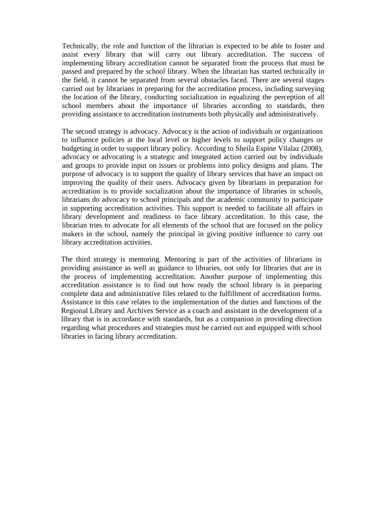Technically, the role and function of the librarian is expected to be able to foster and assist every library that will carry out library accreditation. The success of implementing library accreditation cannot be separated from the process that must be passed and prepared by the school library. When the librarian has started technically in the field, it cannot be separated from several obstacles faced. There are several stages carried out by librarians in preparing for the accreditation process, including surveying the location of the library, conducting socialization in equalizing the perception of all school members about the importance of libraries according to standards, then providing assistance to accreditation instruments both physically and administratively.

The second strategy is advocacy. Advocacy is the action of individuals or organizations to influence policies at the local level or higher levels to support policy changes or budgeting in order to support library policy. According to Sheila Espine Vilalaz (2008), advocacy or advocating is a strategic and integrated action carried out by individuals and groups to provide input on issues or problems into policy designs and plans. The purpose of advocacy is to support the quality of library services that have an impact on improving the quality of their users. Advocacy given by librarians in preparation for accreditation is to provide socialization about the importance of libraries in schools, librarians do advocacy to school principals and the academic community to participate in supporting accreditation activities. This support is needed to facilitate all affairs in library development and readiness to face library accreditation. In this case, the librarian tries to advocate for all elements of the school that are focused on the policy makers in the school, namely the principal in giving positive influence to carry out library accreditation activities.

The third strategy is mentoring. Mentoring is part of the activities of librarians in providing assistance as well as guidance to libraries, not only for libraries that are in the process of implementing accreditation. Another purpose of implementing this accreditation assistance is to find out how ready the school library is in preparing complete data and administrative files related to the fulfillment of accreditation forms. Assistance in this case relates to the implementation of the duties and functions of the Regional Library and Archives Service as a coach and assistant in the development of a library that is in accordance with standards, but as a companion in providing direction regarding what procedures and strategies must be carried out and equipped with school libraries in facing library accreditation.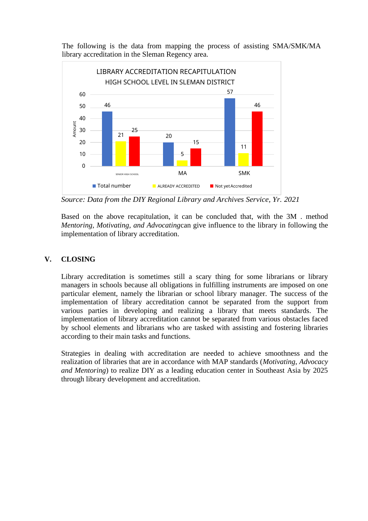The following is the data from mapping the process of assisting SMA/SMK/MA library accreditation in the Sleman Regency area.



*Source: Data from the DIY Regional Library and Archives Service, Yr. 2021*

Based on the above recapitulation, it can be concluded that, with the 3M . method *Mentoring, Motivating, and Advocating*can give influence to the library in following the implementation of library accreditation.

# **V. CLOSING**

Library accreditation is sometimes still a scary thing for some librarians or library managers in schools because all obligations in fulfilling instruments are imposed on one particular element, namely the librarian or school library manager. The success of the implementation of library accreditation cannot be separated from the support from various parties in developing and realizing a library that meets standards. The implementation of library accreditation cannot be separated from various obstacles faced by school elements and librarians who are tasked with assisting and fostering libraries according to their main tasks and functions.

Strategies in dealing with accreditation are needed to achieve smoothness and the realization of libraries that are in accordance with MAP standards (*Motivating*, *Advocacy and Mentoring*) to realize DIY as a leading education center in Southeast Asia by 2025 through library development and accreditation.